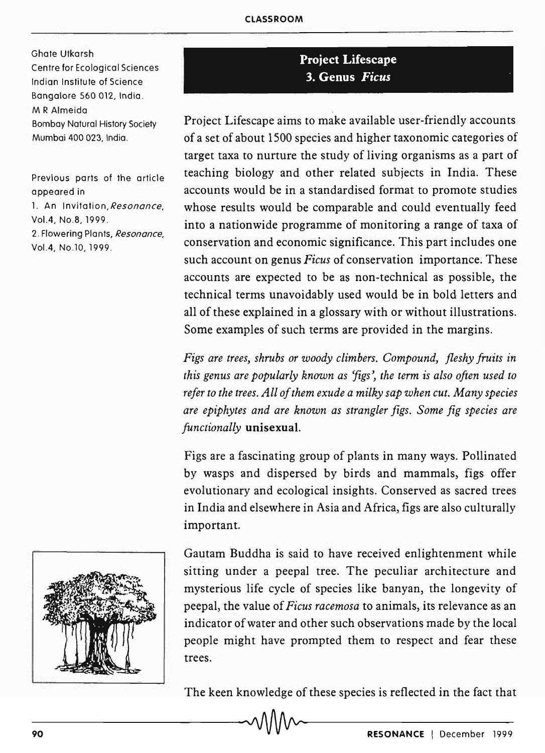Ghate Utkarsh Centre for Ecological Sciences Indian Institute of Science Bangalore 560 012, India. M R Almeida Bombay Natural History Society Mumbai 400 023, India.

Previous parts of the article appeared in 1. An Invitation, Resonance, Vol.4, No.8, 1999. 2. Flowering Plants, Resonance, Vol.4, No.l0, 1999.



Project Lifescape aims to make available user-friendly accounts of a set of about 1500 species and higher taxonomic categories of target taxa to nurture the study of living organisms as a part of teaching biology and other related subjects in India. These accounts would be in a standardised format to promote studies whose results would be comparable and could eventually feed into a nationwide programme of monitoring a range of taxa of conservation and economic significance. This part includes one such account on genus *Ficus* of conservation importance. These accounts are expected to be as non-technical as possible, the technical terms unavoidably used would be in bold letters and all of these explained in a glossary with or without illustrations. Some examples of such terms are provided in the margins.

*Figs are trees, shrubs or woody climbers. Compound, fleshy fruits in this genus are popularly known as 'figs', the term* is *also often used to refer to the trees. All of them exude a milky sap when cut. Many species are epiphytes and are known as strangler figs. Some fig species are functionally* **unisexual.** 

Figs are a fascinating group of plants in many ways. Pollinated by wasps and dispersed by birds and mammals, figs offer evolutionary and ecological insights. Conserved as sacred trees in India and elsewhere in Asia and Africa, figs are also culturally important.



Gautam Buddha is said to have received enlightenment while sitting under a peepal tree. The peculiar architecture and mysterious life cycle of species like banyan, the longevity of peepal, the value of *Ficus racemosa* to animals, its relevance as an indicator of water and other such observations made by the local people might have prompted them to respect and fear these trees.

The keen knowledge of these species is reflected in the fact that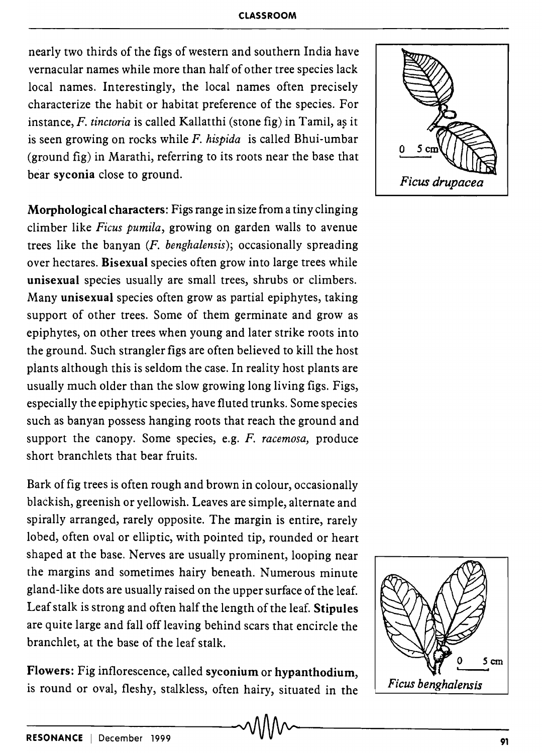nearly two thirds of the figs of western and southern India have vernacular names while more than half of other tree species lack local names. Interestingly, the local names often precisely characterize the habit or habitat preference of the species. For instance, *F. tinctoria* is called Kallatthi (stone fig) in Tamil, as it is seen growing on rocks while *F. hispida* is called Bhui-umbar (ground fig) in Marathi, referring to its roots near the base that bear syconia close to ground.

Morphological characters: Figs range in size from a tiny clinging climber like *Ficus pumila,* growing on garden walls to avenue trees like the banyan *(F. benghalensis);* occasionally spreading over hectares. Bisexual species often grow into large trees while unisexual species usually are small trees, shrubs or climbers. Many unisexual species often grow as partial epiphytes, taking support of other trees. Some of them germinate and grow as epiphytes, on other trees when young and later strike roots into the ground. Such strangler figs are often believed to kill the host plants although this is seldom the case. In reality host plants are usually much older than the slow growing long living figs. Figs, especially the epiphytic species, have fluted trunks. Some species such as banyan possess hanging roots that reach the ground and support the canopy. Some species, e.g. *F. racemosa,* produce short branchlets that bear fruits.

Bark of fig trees is often rough and brown in colour, occasionally blackish, greenish or yellowish. Leaves are simple, alternate and spirally arranged, rarely opposite. The margin is entire, rarely lobed, often oval or elliptic, with pointed tip, rounded or heart shaped at the base. Nerves are usually prominent, looping near the margins and sometimes hairy beneath. Numerous minute gland-like dots are usually raised on the upper surface of the leaf. Leaf stalk is strong and often half the length of the leaf. Stipules are quite large and fall off leaving behind scars that encircle the branchlet, at the base of the leaf stalk.

Flowers: Fig inflorescence, called syconium or hypanthodium, is round or oval, fleshy, stalkless, often hairy, situated in the



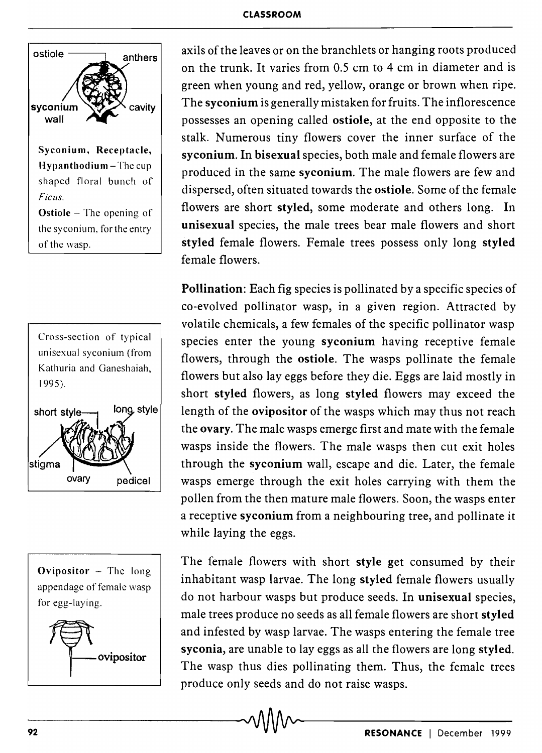







axils of the leaves or on the branchlets or hanging roots produced on the trunk. It varies from O.S cm to 4 cm in diameter and is green when young and red, yellow, orange or brown when ripe. The syconium is generally mistaken for fruits. The inflorescence possesses an opening called ostiole, at the end opposite to the stalk. Numerous tiny flowers cover the inner surface of the syconium. In bisexual species, both male and female flowers are produced in the same syconium. The male flowers are few and dispersed, often situated towards the ostiole. Some of the female flowers are short styled, some moderate and others long. In unisexual species, the male trees bear male flowers and short styled female flowers. Female trees possess only long styled female flowers.

Pollination: Each fig species is pollinated by a specific species of co-evolved pollinator wasp, in a given region. Attracted by volatile chemicals, a few females of the specific pollinator wasp species enter the young syconium having receptive female flowers, through the ostiole. The wasps pollinate the female flowers but also lay eggs before they die. Eggs are laid mostly in short styled flowers, as long styled flowers may exceed the length of the ovipositor of the wasps which may thus not reach the ovary. The male wasps emerge first and mate with the female wasps inside the flowers. The male wasps then cut exit holes through the syconium wall, escape and die. Later, the female wasps emerge through the exit holes carrying with them the pollen from the then mature male flowers. Soon, the wasps enter a receptive syconium from a neighbouring tree, and pollinate it while laying the eggs.

The female flowers with short style get consumed by their inhabitant wasp larvae. The long styled female flowers usually do not harbour wasps but produce seeds. In unisexual species, male trees produce no seeds as all female flowers are short styled and infested by wasp larvae. The wasps entering the female tree syconia, are unable to lay eggs as all the flowers are long styled. The wasp thus dies pollinating them. Thus, the female trees produce only seeds and do not raise wasps.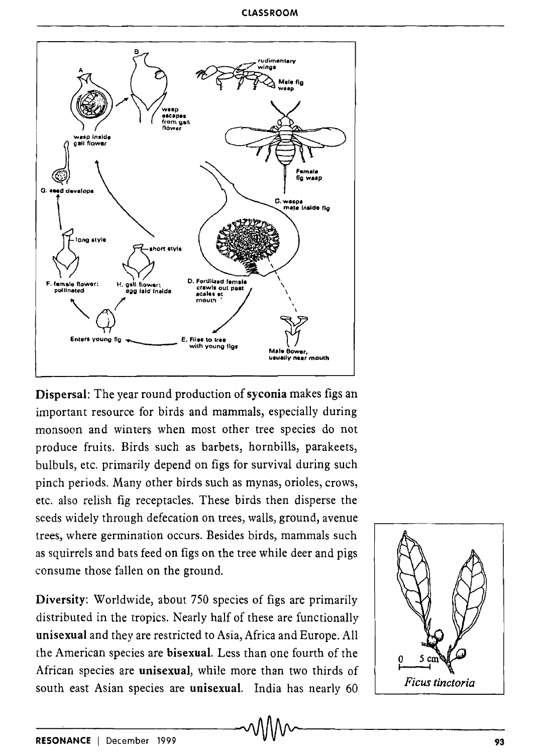

Dispersal: The year round production of syconia makes figs an important resource for birds and mammals, especially during monsoon and winters when most other tree species do not produce fruits. Birds such as barbets, hornbills, parakeets, bulbuls, etc. primarily depend on figs for survival during such pinch periods. Many other birds such as mynas, orioles, crows, etc. also relish fig receptacles. These birds then disperse the seeds widely through defecation on trees, walls, ground, avenue trees, where germination occurs. Besides birds, mammals such as squirrels and bats feed on figs on the tree while deer and pigs consume those fallen on the ground.

Diversity: Worldwide, about 750 species of figs are primarily distributed in the tropics. Nearly half of these are functionally unisexual and they are restricted to Asia, Africa and Europe. All the American species are bisexual. Less than one fourth of the African species are unisexual, while more than two thirds of south east Asian species are unisexual. India has nearly 60 *Ficus tinctoria* 

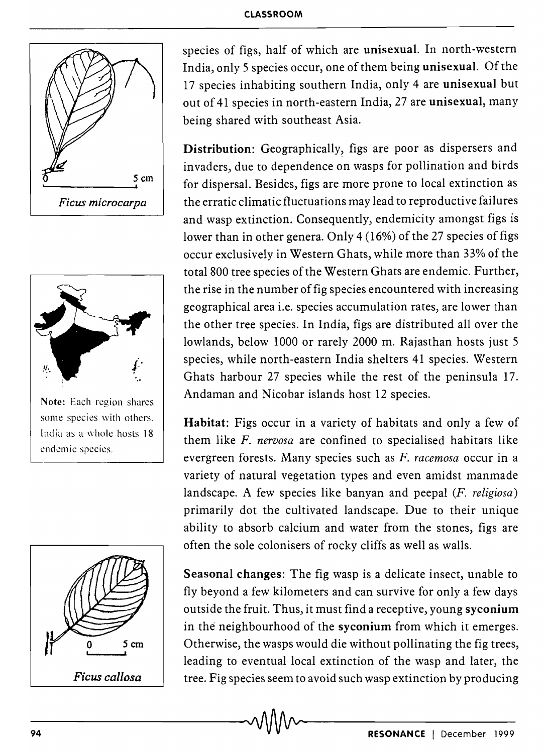



Note: Each region shares some species with others. India as a whole hosts 18 endemic species.



species of figs, half of which are unisexual. In north-western India, only 5 species occur, one of them being unisexual. Of the 17 species inhabiting southern India, only 4 are unisexual but out of 41 species in north-eastern India, 27 are unisexual, many being shared with southeast Asia.

Distribution: Geographically, figs are poor as dispersers and invaders, due to dependence on wasps for pollination and birds for dispersal. Besides, figs are more prone to local extinction as the erratic climatic fluctuations may lead to reproductive failures and wasp extinction. Consequently, endemicity amongst figs is lower than in other genera. Only 4 (16%) of the 27 species of figs occur exclusively in Western Ghats, while more than 33% of the total 800 tree species of the Western Ghats are endemic. Further, the rise in the number of fig species encountered with increasing geographical area i.e. species accumulation rates, are lower than the other tree species. In India, figs are distributed all over the lowlands, below 1000 or rarely 2000 m. Rajasthan hosts just 5 species, while north-eastern India shelters 41 species. Western Ghats harbour 27 species while the rest of the peninsula 17. Andaman and Nicobar islands host 12 species.

Habitat: Figs occur in a variety of habitats and only a few of them like *P. nervosa* are confined to specialised habitats like evergreen forests. Many species such as *P. racemosa* occur in a variety of natural vegetation types and even amidst manmade landscape. A few species like banyan and peepal *(P. religiosa)*  primarily dot the cultivated landscape. Due to their unique ability to absorb calcium and water from the stones, figs are often the sole colonisers of rocky cliffs as well as walls.

Seasonal changes: The fig wasp is a delicate insect, unable to fly beyond a few kilometers and can survive for only a few days outside the fruit. Thus, it must find a receptive, young syconium in the neighbourhood of the syconium from which it emerges. Otherwise, the wasps would die without pollinating the fig trees, leading to eventual local extinction of the wasp and later, the tree. Fig species seem to avoid such wasp extinction by producing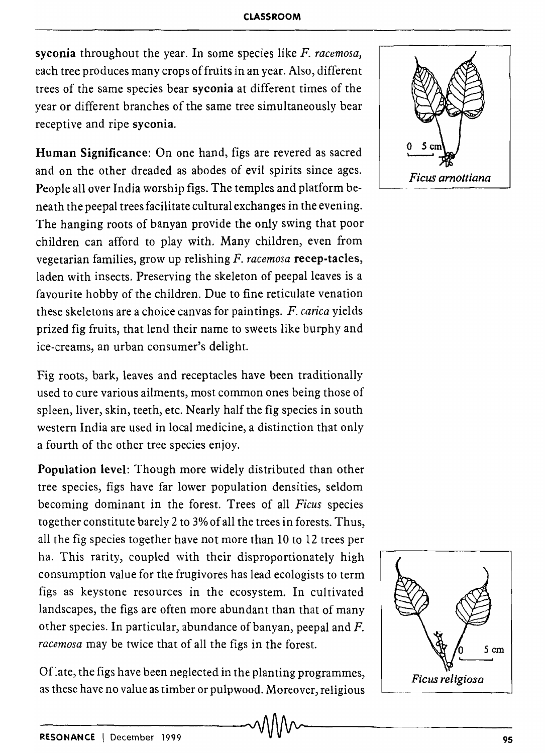syconia throughout the year. In some species like *F. racemosa,*  each tree produces many crops of fruits in an year. Also, different trees of the same species bear syconia at different times of the year or different branches of the same tree simultaneously bear receptive and ripe syconia.

Human Significance: On one hand, figs are revered as sacred and on the other dreaded as abodes of evil spirits since ages. People all over India worship figs. The temples and platform beneath the peepal trees facilitate cultural exchanges in the evening. The hanging roots of banyan provide the only swing that poor children can afford to play with. Many children, even from vegetarian families, grow up relishing F. *racemosa* recep-tacles, laden with insects. Preserving the skeleton of peepal leaves is a favourite hobby of the children. Due to fine reticulate venation these skeletons are a choice canvas for paintings. F. *carica* yields prized fig fruits, that lend their name to sweets like burphy and ice-creams, an urban consumer's delight.

Fig roots, bark, leaves and receptacles have been traditionally used to cure various ailments, most common ones being those of spleen, liver, skin, teeth, etc. Nearly half the fig species in south western India are used in local medicine, a distinction that only a fourth of the other tree species enjoy.

Population level: Though more widely distributed than other tree species, figs have far lower population densities, seldom becoming dominant in the forest. Trees of all *Ficus* species together constitute barely 2 to 3% of all the trees in forests. Thus, all the fig species together have not more than 10 to 12 trees per ha. This rarity, coupled with their disproportionately high consumption value for the frugivores has lead ecologists to term figs as keystone resources in the ecosystem. In cultivated landscapes, the figs are often more abundant than that of many other species. In particular, abundance of banyan, peepal and F. *racemosa* may be twice that of all the figs in the forest.

Oflate, the figs have been neglected in the planting programmes, as these have no value as timber or pulpwood. Moreover, religious  $\bigcup_{n=1}^{\infty} \bigcup_{n=1}^{\infty} \bigcup_{n=1}^{\infty} \bigcup_{n=1}^{\infty} \bigcup_{n=1}^{\infty} \bigcup_{n=1}^{\infty} \bigcup_{n=1}^{\infty} \bigcup_{n=1}^{\infty} \bigcup_{n=1}^{\infty} \bigcup_{n=1}^{\infty} \bigcup_{n=1}^{\infty} \bigcup_{n=1}^{\infty$ 



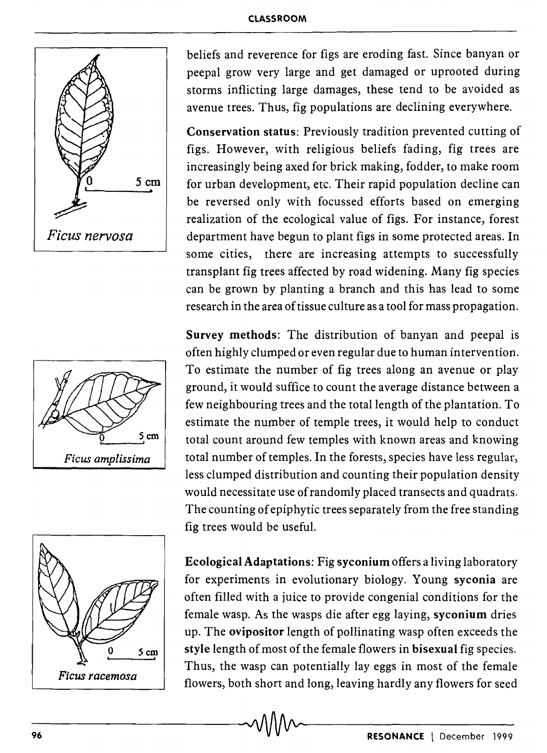





beliefs and reverence for figs are eroding fast. Since banyan or peepal grow very large and get damaged or uprooted during storms inflicting large damages, these tend to be avoided as avenue trees. Thus, fig populations are declining everywhere.

Conservation status: Previously tradition prevented cutting of figs. However, with religious beliefs fading, fig trees are increasingly being axed for brick making, fodder, to make room 5 cm  $\vert$  for urban development, etc. Their rapid population decline can be reversed only with focussed efforts based on emerging realization of the ecological value of figs. For instance, forest department have begun to plant figs in some protected areas. In some cities, there are increasing attempts to successfully transplant fig trees affected by road widening. Many fig species can be grown by planting a branch and this has lead to some research in the area of tissue culture as a tool for mass propagation.

> Survey methods: The distribution of banyan and peepal is often highly clumped or even regular due to human intervention. To estimate the number of fig trees along an avenue or play ground, it would suffice to count the average distance between a few neighbouring trees and the total length of the plantation. To estimate the number of temple trees, it would help to conduct total count around few temples with known areas and knowing total number of temples. In the forests, species have less regular, less clumped distribution and counting their population density would necessitate use of randomly placed transects and quadrats. The counting of epiphytic trees separately from the free standing fig trees would be useful.

> Ecological Adaptations: Fig syconium offers a living laboratory for experiments in evolutionary biology. Young syconia are often filled with a juice to provide congenial conditions for the female wasp. As the wasps die after egg laying, syconium dries up. The ovipositor length of pollinating wasp often exceeds the style length of most of the female flowers in bisexual fig species. Thus, the wasp can potentially lay eggs in most of the female flowers, both short and long, leaving hardly any flowers for seed

-96------------------------------~~--------------------------------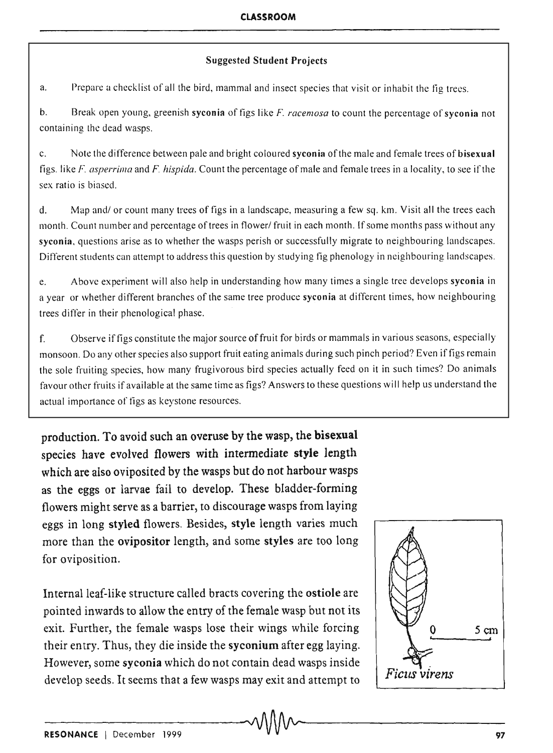## Suggested Student Projects

a. Prepare a checklist of all the bird, mammal and insect species that visit or inhabit the fig trees.

b. Break open young. greenish syconia of figs like *F. racemosa* to count the percentage of syconia not containing the dead wasps.

c. Note the difference between pale and bright coloured syconia of the male and female trees of bisexual figs. like *F. asperrima* and *F. hispida.* Count the percentage of male and female trees in a locality, to see if the sex ratio is biased.

d. Map and/ or count many trees of figs in a landscape, measuring a few sq. km. Visit all the trees each month. Count number and percentage of trees in flower/ fruit in each month. [f some months pass without any syconia, questions arise as to whether the wasps perish or successfully migrate to neighbouring landscapes. Different students can attempt to address this question by studying fig phenology in neighbouring landscapes.

e. Above experiment will also help in understanding how many times a single tree develops syconia in a year or whether different branches of the same tree produce syconia at different times, how neighbouring trees differ in their phenological phase.

f. Observe if figs constitute the major source of fruit for birds or mammals in various seasons, especially monsoon. Do any other species also support fruit eating animals during such pinch period? Even iffigs remain the sole fruiting species, how many frugivorous bird species actually feed on it in such times? Do animals favour other fruits if available at the same time as figs? Answers to these questions will help us understand the actual importance of figs as keystone resources.

production. To avoid such an overuse by the wasp, the bisexual species have evolved flowers with intermediate style length which are also oviposited by the wasps but do not harbour wasps as the eggs or larvae fail to develop. These bladder-forming flowers might serve as a barrier, to discourage wasps from laying eggs in long styled flowers, Besides, style length varies much more than the ovipositor length, and some styles are too long for oviposition.

Internal leaf-like structure called bracts covering the ostiole are pointed inwards to allow the entry of the female wasp but not its exit. Further, the female wasps lose their wings while forcing their entry. Thus, they die inside the syconium after egg laying. However, some syconia which do not contain dead wasps inside develop seeds. It seems that a few wasps may exit and attempt to *Ficus virens*  develop seeds. It seems that a few wasps may exit and attempt to  $\frac{1}{2}$ 

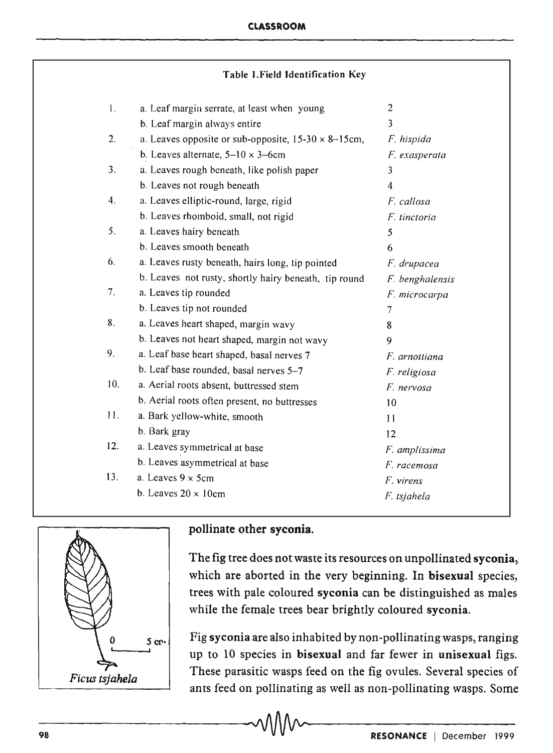| 1.  | a. Leaf margin serrate, at least when young                 | $\overline{c}$  |
|-----|-------------------------------------------------------------|-----------------|
|     | b. Leaf margin always entire                                | 3               |
| 2.  | a. Leaves opposite or sub-opposite, $15-30 \times 8-15$ cm, | F. hispida      |
|     | b. Leaves alternate, $5-10 \times 3-6$ cm                   | F. exasperata   |
| 3.  | a. Leaves rough beneath, like polish paper                  | 3               |
|     | b. Leaves not rough beneath                                 | $\overline{4}$  |
| 4.  | a. Leaves elliptic-round, large, rigid                      | F. callosa      |
|     | b. Leaves rhomboid, small, not rigid                        | F. tinctoria    |
| 5.  | a. Leaves hairy beneath                                     | 5               |
|     | b. Leaves smooth beneath                                    | 6               |
| 6.  | a. Leaves rusty beneath, hairs long, tip pointed            | F. drupacea     |
|     | b. Leaves not rusty, shortly hairy beneath, tip round       | F. benghalensis |
| 7.  | a. Leaves tip rounded                                       | F. microcarpa   |
|     | b. Leaves tip not rounded                                   | 7               |
| 8.  | a. Leaves heart shaped, margin wavy                         | 8               |
|     | b. Leaves not heart shaped, margin not wavy                 | 9               |
| 9.  | a. Leaf base heart shaped, basal nerves 7                   | F. arnottiana   |
|     | b. Leaf base rounded, basal nerves 5-7                      | F. religiosa    |
| 10. | a. Aerial roots absent, buttressed stem                     | F. nervosa      |
|     | b. Aerial roots often present, no buttresses                | 10              |
| 11. | a. Bark yellow-white, smooth                                | 11              |
|     | b. Bark gray                                                | 12              |
| 12. | a. Leaves symmetrical at base                               | F. amplissima   |
|     | b. Leaves asymmetrical at base                              | F. racemosa     |
| 13. | a. Leaves $9 \times 5$ cm                                   | F. virens       |
|     | b. Leaves $20 \times 10$ cm                                 | F. tsjahela     |
|     |                                                             |                 |



## pollinate other syconia.

The fig tree does not waste its resources on unpollinated syconia, which are aborted in the very beginning. In bisexual species, trees with pale coloured syconia can be distinguished as males while the female trees bear brightly coloured syconia.

Fig syconia are also inhabited by non-pollinating wasps, ranging up to 10 species in bisexual and far fewer in unisexual figs. These parasitic wasps feed on the fig ovules. Several species of ants feed on pollinating as well as non-pollinating wasps. Some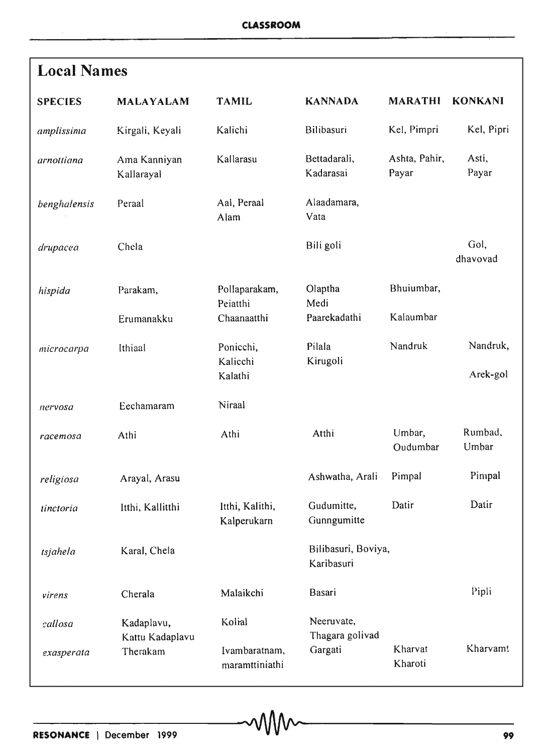| <b>Local Names</b> |                               |                                 |                                   |                        |                  |  |  |
|--------------------|-------------------------------|---------------------------------|-----------------------------------|------------------------|------------------|--|--|
| <b>SPECIES</b>     | MALAYALAM                     | <b>TAMIL</b>                    | <b>KANNADA</b>                    | <b>MARATHI</b>         | <b>KONKANI</b>   |  |  |
| amplissima         | Kirgali, Keyali               | Kalichi                         | Bilibasuri                        | Kel, Pimpri            | Kel, Pipri       |  |  |
| arnottiana         | Ama Kanniyan<br>Kallarayal    | Kallarasu                       | Bettadarali,<br>Kadarasai         | Ashta, Pahir,<br>Payar | Asti,<br>Payar   |  |  |
| benghalensis       | Peraal                        | Aal, Peraal<br>Alam             | Alaadamara,<br>Vata               |                        |                  |  |  |
| drupacea           | Chela                         |                                 | Bili goli                         |                        | Gol,<br>dhavovad |  |  |
| hispida            | Parakam,                      | Pollaparakam,<br>Peiatthi       | Olaptha<br>Medi                   | Bhuiumbar,             |                  |  |  |
|                    | Erumanakku                    | Chaanaatthi                     | Paarekadathi                      | Kalaumbar              |                  |  |  |
| microcarpa         | Ithiaal                       | Ponicchi,<br>Kalicchi           | Pilala<br>Kirugoli                | Nandruk                | Nandruk,         |  |  |
|                    |                               | Kalathi                         |                                   |                        | Arek-gol         |  |  |
| nervosa            | Eechamaram                    | Niraal                          |                                   |                        |                  |  |  |
| racemosa           | Athi                          | Athi                            | Atthi                             | Umbar,<br>Oudumbar     | Rumbad,<br>Umbar |  |  |
| religiosa          | Arayal, Arasu                 |                                 | Ashwatha, Arali                   | Pimpal                 | Pimpal           |  |  |
| tinctoria          | Itthi, Kallitthi              | Itthi, Kalithi,<br>Kalperukarn  | Gudumitte,<br>Gunngumitte         | Datir                  | Datir            |  |  |
| tsjahela           | Karal, Chela                  |                                 | Bilibasuri, Boviya,<br>Karibasuri |                        |                  |  |  |
| virens             | Cherala                       | Malaikchi                       | Basari                            |                        | Pipli            |  |  |
| callosa            | Kadaplavu,<br>Kattu Kadaplavu | Kolial                          | Neeruvate,<br>Thagara golivad     |                        |                  |  |  |
| exasperata         | Therakam                      | Ivambaratnam,<br>maramttiniathi | Gargati                           | Kharvat<br>Kharoti     | Kharvamt         |  |  |